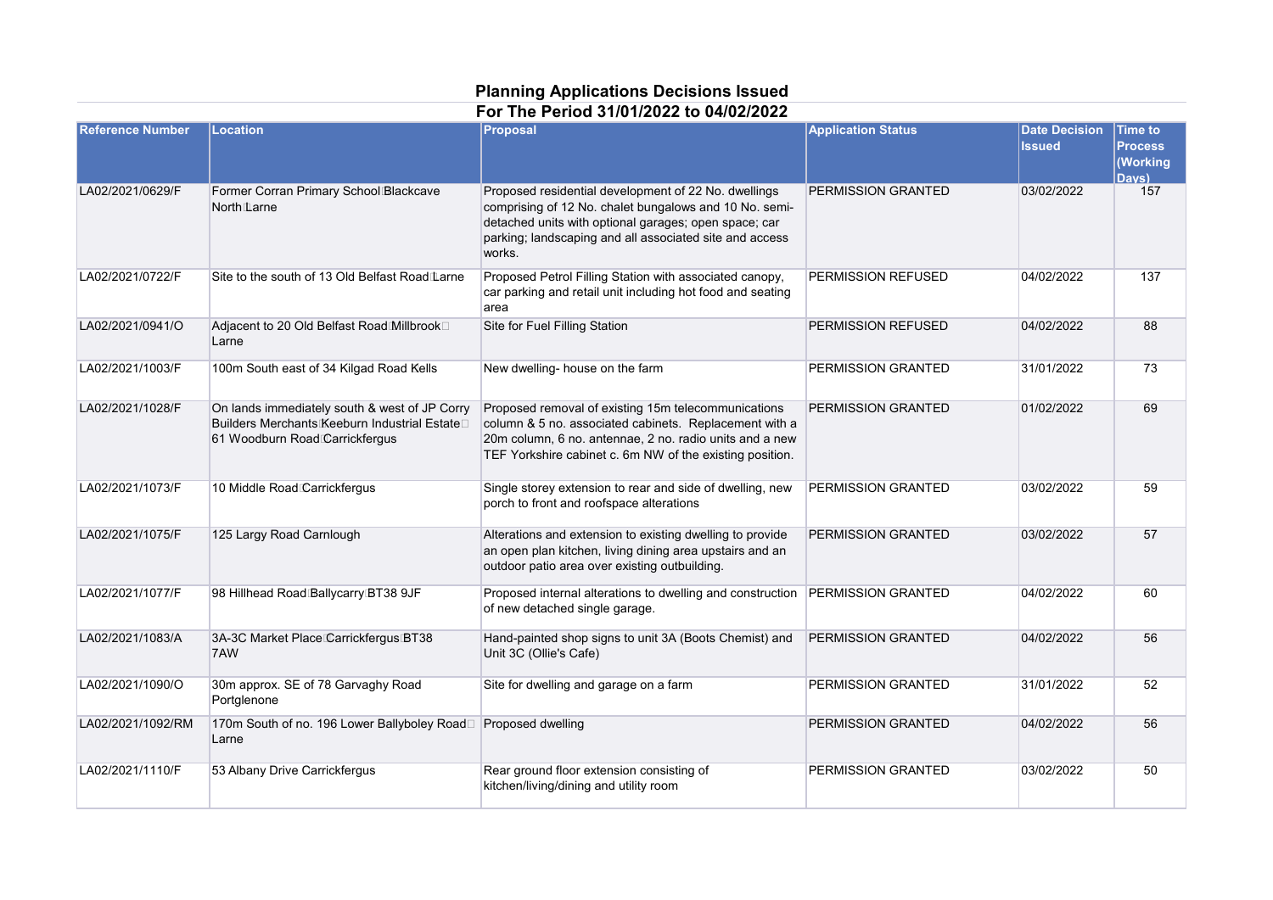## **Planning Applications Decisions Issued For The Period 31/01/2022 to 04/02/2022**

| <b>Reference Number</b> | Location                                                                                                                        | Proposal                                                                                                                                                                                                                                     | <b>Application Status</b> | <b>Date Decision</b><br><b>Issued</b> | Time to<br><b>Process</b><br><b>Working</b><br>Davs) |
|-------------------------|---------------------------------------------------------------------------------------------------------------------------------|----------------------------------------------------------------------------------------------------------------------------------------------------------------------------------------------------------------------------------------------|---------------------------|---------------------------------------|------------------------------------------------------|
| LA02/2021/0629/F        | Former Corran Primary School Blackcave<br>North <sub>Larne</sub>                                                                | Proposed residential development of 22 No. dwellings<br>comprising of 12 No. chalet bungalows and 10 No. semi-<br>detached units with optional garages; open space; car<br>parking; landscaping and all associated site and access<br>works. | PERMISSION GRANTED        | 03/02/2022                            | 157                                                  |
| LA02/2021/0722/F        | Site to the south of 13 Old Belfast Road Larne                                                                                  | Proposed Petrol Filling Station with associated canopy,<br>car parking and retail unit including hot food and seating<br>area                                                                                                                | PERMISSION REFUSED        | 04/02/2022                            | 137                                                  |
| LA02/2021/0941/O        | Adjacent to 20 Old Belfast Road Millbrook□<br>Larne                                                                             | Site for Fuel Filling Station                                                                                                                                                                                                                | PERMISSION REFUSED        | 04/02/2022                            | 88                                                   |
| LA02/2021/1003/F        | 100m South east of 34 Kilgad Road Kells                                                                                         | New dwelling- house on the farm                                                                                                                                                                                                              | PERMISSION GRANTED        | 31/01/2022                            | 73                                                   |
| LA02/2021/1028/F        | On lands immediately south & west of JP Corry<br>Builders Merchants Keeburn Industrial Estate<br>61 Woodburn Road Carrickfergus | Proposed removal of existing 15m telecommunications<br>column & 5 no. associated cabinets. Replacement with a<br>20m column, 6 no. antennae, 2 no. radio units and a new<br>TEF Yorkshire cabinet c. 6m NW of the existing position.         | PERMISSION GRANTED        | 01/02/2022                            | 69                                                   |
| LA02/2021/1073/F        | 10 Middle Road Carrickfergus                                                                                                    | Single storey extension to rear and side of dwelling, new<br>porch to front and roofspace alterations                                                                                                                                        | PERMISSION GRANTED        | 03/02/2022                            | 59                                                   |
| LA02/2021/1075/F        | 125 Largy Road Carnlough                                                                                                        | Alterations and extension to existing dwelling to provide<br>an open plan kitchen, living dining area upstairs and an<br>outdoor patio area over existing outbuilding.                                                                       | PERMISSION GRANTED        | 03/02/2022                            | 57                                                   |
| LA02/2021/1077/F        | 98 Hillhead Road Ballycarry BT38 9JF                                                                                            | Proposed internal alterations to dwelling and construction   PERMISSION GRANTED<br>of new detached single garage.                                                                                                                            |                           | 04/02/2022                            | 60                                                   |
| LA02/2021/1083/A        | 3A-3C Market Place Carrickfergus BT38<br>7AW                                                                                    | Hand-painted shop signs to unit 3A (Boots Chemist) and<br>Unit 3C (Ollie's Cafe)                                                                                                                                                             | PERMISSION GRANTED        | 04/02/2022                            | 56                                                   |
| LA02/2021/1090/O        | 30m approx. SE of 78 Garvaghy Road<br>Portglenone                                                                               | Site for dwelling and garage on a farm                                                                                                                                                                                                       | PERMISSION GRANTED        | 31/01/2022                            | 52                                                   |
| LA02/2021/1092/RM       | 170m South of no. 196 Lower Ballyboley Road□<br>Larne                                                                           | Proposed dwelling                                                                                                                                                                                                                            | PERMISSION GRANTED        | 04/02/2022                            | 56                                                   |
| LA02/2021/1110/F        | 53 Albany Drive Carrickfergus                                                                                                   | Rear ground floor extension consisting of<br>kitchen/living/dining and utility room                                                                                                                                                          | PERMISSION GRANTED        | 03/02/2022                            | 50                                                   |